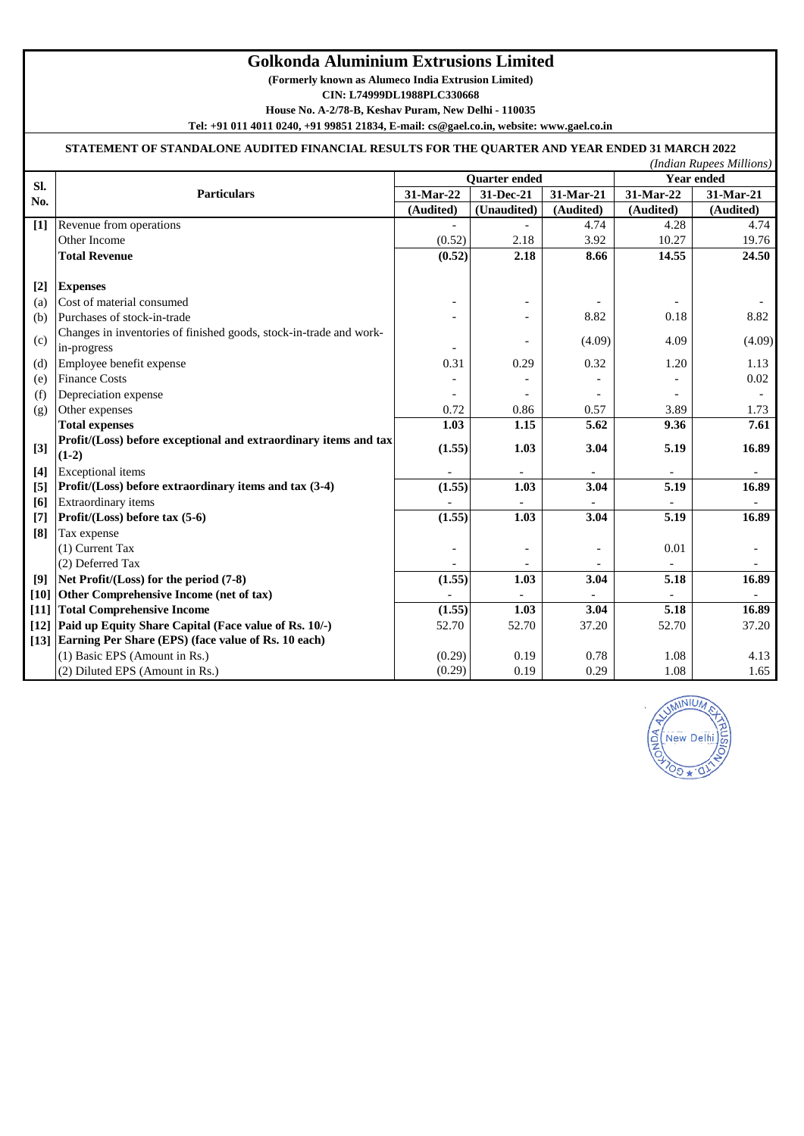## **Golkonda Aluminium Extrusions Limited**

**(Formerly known as Alumeco India Extrusion Limited)**

**CIN: L74999DL1988PLC330668**

**House No. A-2/78-B, Keshav Puram, New Delhi - 110035**

**Tel: +91 011 4011 0240, +91 99851 21834, E-mail: cs@gael.co.in, website: www.gael.co.in**

## **STATEMENT OF STANDALONE AUDITED FINANCIAL RESULTS FOR THE QUARTER AND YEAR ENDED 31 MARCH 2022**

|       |                                                                    |                      |             |           |                   | (Indian Rupees Millions) |
|-------|--------------------------------------------------------------------|----------------------|-------------|-----------|-------------------|--------------------------|
| Sl.   |                                                                    | <b>Quarter</b> ended |             |           | <b>Year ended</b> |                          |
| No.   | <b>Particulars</b>                                                 | 31-Mar-22            | 31-Dec-21   | 31-Mar-21 | 31-Mar-22         | 31-Mar-21                |
|       |                                                                    | (Audited)            | (Unaudited) | (Audited) | (Audited)         | (Audited)                |
| $[1]$ | Revenue from operations                                            |                      |             | 4.74      | 4.28              | 4.74                     |
|       | Other Income                                                       | (0.52)               | 2.18        | 3.92      | 10.27             | 19.76                    |
|       | <b>Total Revenue</b>                                               | (0.52)               | 2.18        | 8.66      | 14.55             | 24.50                    |
|       |                                                                    |                      |             |           |                   |                          |
| $[2]$ | <b>Expenses</b>                                                    |                      |             |           |                   |                          |
| (a)   | Cost of material consumed                                          |                      |             |           |                   |                          |
| (b)   | Purchases of stock-in-trade                                        |                      |             | 8.82      | 0.18              | 8.82                     |
| (c)   | Changes in inventories of finished goods, stock-in-trade and work- |                      |             | (4.09)    | 4.09              | (4.09)                   |
|       | in-progress                                                        |                      |             |           |                   |                          |
| (d)   | Employee benefit expense                                           | 0.31                 | 0.29        | 0.32      | 1.20              | 1.13                     |
| (e)   | <b>Finance Costs</b>                                               |                      |             |           |                   | 0.02                     |
| (f)   | Depreciation expense                                               |                      |             |           |                   |                          |
| (g)   | Other expenses                                                     | 0.72                 | 0.86        | 0.57      | 3.89              | 1.73                     |
|       | <b>Total expenses</b>                                              | 1.03                 | 1.15        | 5.62      | 9.36              | 7.61                     |
| $[3]$ | Profit/(Loss) before exceptional and extraordinary items and tax   | (1.55)               | 1.03        | 3.04      | 5.19              | 16.89                    |
|       | $(1-2)$                                                            |                      |             |           |                   |                          |
| $[4]$ | <b>Exceptional</b> items                                           |                      |             |           |                   |                          |
| [5]   | Profit/(Loss) before extraordinary items and tax (3-4)             | (1.55)               | 1.03        | 3.04      | 5.19              | 16.89                    |
| [6]   | <b>Extraordinary items</b>                                         |                      |             |           |                   |                          |
| $[7]$ | Profit/(Loss) before tax (5-6)                                     | (1.55)               | 1.03        | 3.04      | 5.19              | 16.89                    |
| [8]   | Tax expense                                                        |                      |             |           |                   |                          |
|       | (1) Current Tax                                                    |                      |             |           | 0.01              |                          |
|       | (2) Deferred Tax                                                   |                      |             |           |                   |                          |
| [9]   | Net Profit/(Loss) for the period (7-8)                             | (1.55)               | 1.03        | 3.04      | 5.18              | 16.89                    |
|       | [10] Other Comprehensive Income (net of tax)                       |                      |             |           |                   |                          |
|       | [11] Total Comprehensive Income                                    | (1.55)               | 1.03        | 3.04      | 5.18              | 16.89                    |
|       | [12] Paid up Equity Share Capital (Face value of Rs. 10/-)         | 52.70                | 52.70       | 37.20     | 52.70             | 37.20                    |
|       | [13] Earning Per Share (EPS) (face value of Rs. 10 each)           |                      |             |           |                   |                          |
|       | (1) Basic EPS (Amount in Rs.)                                      | (0.29)               | 0.19        | 0.78      | 1.08              | 4.13                     |
|       | (2) Diluted EPS (Amount in Rs.)                                    | (0.29)               | 0.19        | 0.29      | 1.08              | 1.65                     |

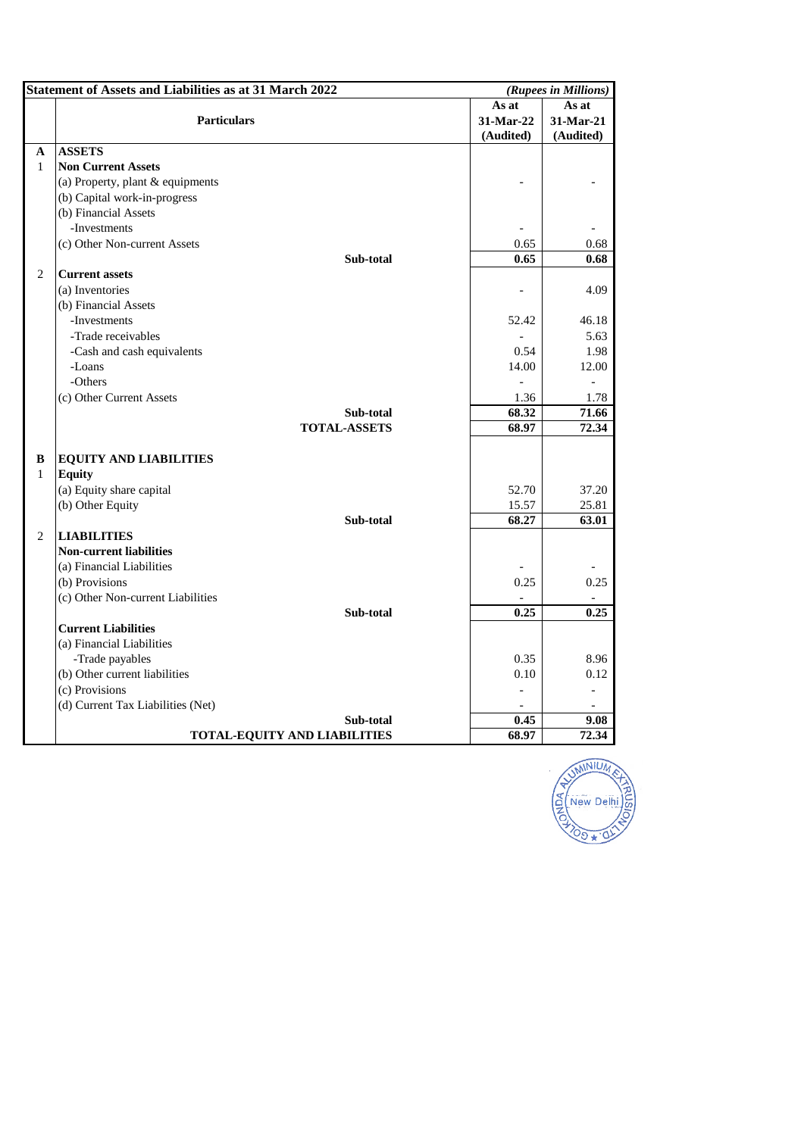|                | <b>Statement of Assets and Liabilities as at 31 March 2022</b> |                | (Rupees in Millions) |  |
|----------------|----------------------------------------------------------------|----------------|----------------------|--|
|                |                                                                | As at          | As at                |  |
|                | <b>Particulars</b>                                             |                | 31-Mar-21            |  |
|                |                                                                | (Audited)      | (Audited)            |  |
| A              | <b>ASSETS</b>                                                  |                |                      |  |
| $\mathbf{1}$   | <b>Non Current Assets</b>                                      |                |                      |  |
|                | (a) Property, plant & equipments                               |                |                      |  |
|                | (b) Capital work-in-progress                                   |                |                      |  |
|                | (b) Financial Assets                                           |                |                      |  |
|                | -Investments                                                   |                |                      |  |
|                | (c) Other Non-current Assets                                   | 0.65           | 0.68                 |  |
|                | Sub-total                                                      | 0.65           | 0.68                 |  |
| $\overline{c}$ | <b>Current assets</b>                                          |                |                      |  |
|                | (a) Inventories                                                | $\overline{a}$ | 4.09                 |  |
|                | (b) Financial Assets                                           |                |                      |  |
|                | -Investments                                                   | 52.42          | 46.18                |  |
|                | -Trade receivables                                             |                | 5.63                 |  |
|                | -Cash and cash equivalents                                     | 0.54           | 1.98                 |  |
|                | -Loans                                                         | 14.00          | 12.00                |  |
|                | -Others                                                        |                |                      |  |
|                | (c) Other Current Assets                                       | 1.36           | 1.78                 |  |
|                | Sub-total                                                      | 68.32          | 71.66                |  |
|                | <b>TOTAL-ASSETS</b>                                            | 68.97          | 72.34                |  |
|                |                                                                |                |                      |  |
| B              | <b>EQUITY AND LIABILITIES</b>                                  |                |                      |  |
| $\mathbf{1}$   | <b>Equity</b>                                                  |                |                      |  |
|                | (a) Equity share capital                                       | 52.70          | 37.20                |  |
|                | (b) Other Equity                                               | 15.57          | 25.81                |  |
|                | Sub-total                                                      | 68.27          | 63.01                |  |
| $\overline{2}$ | <b>LIABILITIES</b>                                             |                |                      |  |
|                | <b>Non-current liabilities</b>                                 |                |                      |  |
|                | (a) Financial Liabilities                                      |                |                      |  |
|                | (b) Provisions                                                 | 0.25           | 0.25                 |  |
|                | (c) Other Non-current Liabilities                              |                |                      |  |
|                | Sub-total                                                      | 0.25           | 0.25                 |  |
|                | <b>Current Liabilities</b>                                     |                |                      |  |
|                | (a) Financial Liabilities                                      |                |                      |  |
|                | -Trade payables                                                | 0.35           | 8.96                 |  |
|                | (b) Other current liabilities                                  | 0.10           | 0.12                 |  |
|                | (c) Provisions                                                 |                |                      |  |
|                | (d) Current Tax Liabilities (Net)                              |                |                      |  |
|                | Sub-total                                                      | 0.45           | 9.08                 |  |
|                | TOTAL-EQUITY AND LIABILITIES                                   | 68.97          | 72.34                |  |

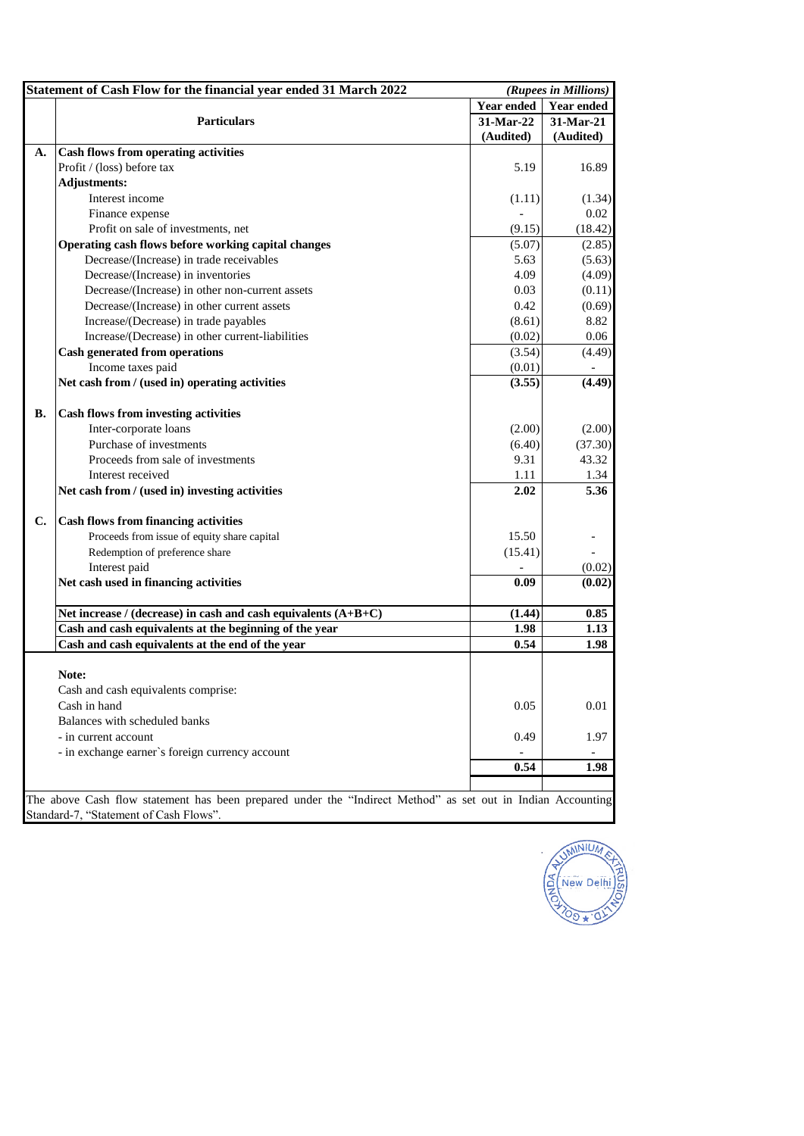|           | Statement of Cash Flow for the financial year ended 31 March 2022                                                                                     |                   | (Rupees in Millions) |
|-----------|-------------------------------------------------------------------------------------------------------------------------------------------------------|-------------------|----------------------|
|           |                                                                                                                                                       | <b>Year ended</b> | <b>Year ended</b>    |
|           | <b>Particulars</b>                                                                                                                                    | 31-Mar-22         | 31-Mar-21            |
|           |                                                                                                                                                       | (Audited)         | (Audited)            |
| A.        | <b>Cash flows from operating activities</b>                                                                                                           |                   |                      |
|           | Profit / (loss) before tax                                                                                                                            | 5.19              | 16.89                |
|           | <b>Adjustments:</b>                                                                                                                                   |                   |                      |
|           | Interest income                                                                                                                                       | (1.11)            | (1.34)               |
|           | Finance expense                                                                                                                                       | $\overline{a}$    | 0.02                 |
|           | Profit on sale of investments, net                                                                                                                    | (9.15)            | (18.42)              |
|           | Operating cash flows before working capital changes                                                                                                   | (5.07)            | (2.85)               |
|           | Decrease/(Increase) in trade receivables                                                                                                              | 5.63              | (5.63)               |
|           | Decrease/(Increase) in inventories                                                                                                                    | 4.09              | (4.09)               |
|           | Decrease/(Increase) in other non-current assets                                                                                                       | 0.03              | (0.11)               |
|           | Decrease/(Increase) in other current assets                                                                                                           | 0.42              | (0.69)               |
|           | Increase/(Decrease) in trade payables                                                                                                                 | (8.61)            | 8.82                 |
|           | Increase/(Decrease) in other current-liabilities                                                                                                      | (0.02)            | 0.06                 |
|           | <b>Cash generated from operations</b>                                                                                                                 | (3.54)            | (4.49)               |
|           | Income taxes paid                                                                                                                                     | (0.01)            |                      |
|           | Net cash from / (used in) operating activities                                                                                                        | (3.55)            | (4.49)               |
| <b>B.</b> | <b>Cash flows from investing activities</b>                                                                                                           |                   |                      |
|           | Inter-corporate loans                                                                                                                                 | (2.00)            | (2.00)               |
|           | Purchase of investments                                                                                                                               | (6.40)            | (37.30)              |
|           | Proceeds from sale of investments                                                                                                                     | 9.31              | 43.32                |
|           | Interest received                                                                                                                                     | 1.11              | 1.34                 |
|           | Net cash from / (used in) investing activities                                                                                                        | 2.02              | 5.36                 |
| C.        | Cash flows from financing activities                                                                                                                  |                   |                      |
|           | Proceeds from issue of equity share capital                                                                                                           | 15.50             |                      |
|           | Redemption of preference share                                                                                                                        | (15.41)           |                      |
|           | Interest paid                                                                                                                                         |                   | (0.02)               |
|           | Net cash used in financing activities                                                                                                                 | 0.09              | (0.02)               |
|           | Net increase / (decrease) in cash and cash equivalents $(A+B+C)$                                                                                      | (1.44)            | 0.85                 |
|           | Cash and cash equivalents at the beginning of the year                                                                                                | 1.98              | 1.13                 |
|           | Cash and cash equivalents at the end of the year                                                                                                      | 0.54              | 1.98                 |
|           | Note:                                                                                                                                                 |                   |                      |
|           | Cash and cash equivalents comprise:                                                                                                                   |                   |                      |
|           | Cash in hand                                                                                                                                          | 0.05              | 0.01                 |
|           | Balances with scheduled banks                                                                                                                         |                   |                      |
|           | - in current account                                                                                                                                  | 0.49              | 1.97                 |
|           | - in exchange earner's foreign currency account                                                                                                       |                   |                      |
|           |                                                                                                                                                       | 0.54              | 1.98                 |
|           |                                                                                                                                                       |                   |                      |
|           | The above Cash flow statement has been prepared under the "Indirect Method" as set out in Indian Accounting<br>Standard-7, "Statement of Cash Flows". |                   |                      |